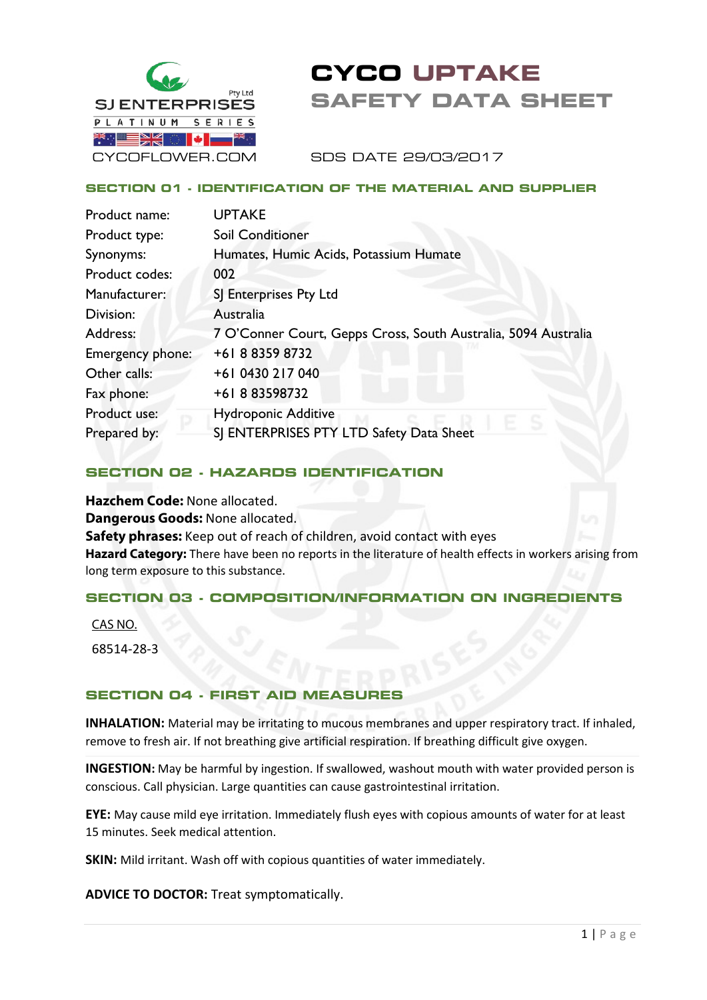

# **CYCO UPTAKE SAFETY DATA SHEET**

SDS DATE 29/03/2017

#### **SECTION 01 - IDENTIFICATION OF THE MATERIAL AND SUPPLIER**

| Product name:    | <b>UPTAKE</b>                                                  |
|------------------|----------------------------------------------------------------|
| Product type:    | Soil Conditioner                                               |
| Synonyms:        | Humates, Humic Acids, Potassium Humate                         |
| Product codes:   | 002                                                            |
| Manufacturer:    | SJ Enterprises Pty Ltd                                         |
| Division:        | Australia                                                      |
| Address:         | 7 O'Conner Court, Gepps Cross, South Australia, 5094 Australia |
| Emergency phone: | +61 8 8359 8732                                                |
| Other calls:     | +61 0430 217 040                                               |
| Fax phone:       | +61883598732                                                   |
| Product use:     | <b>Hydroponic Additive</b>                                     |
| Prepared by:     | SJ ENTERPRISES PTY LTD Safety Data Sheet                       |
|                  |                                                                |

#### **SECTION 02 - HAZARDS IDENTIFICATION**

**Hazchem Code:** None allocated. **Dangerous Goods:** None allocated. **Safety phrases:** Keep out of reach of children, avoid contact with eyes **Hazard Category:** There have been no reports in the literature of health effects in workers arising from long term exposure to this substance.

## **SECTION 03 - COMPOSITION/INFORMATION ON INGREDIENTS**

CAS NO.

68514-28-3

#### **SECTION 04 - FIRST AID MEASURE**

**INHALATION:** Material may be irritating to mucous membranes and upper respiratory tract. If inhaled, remove to fresh air. If not breathing give artificial respiration. If breathing difficult give oxygen.

**INGESTION:** May be harmful by ingestion. If swallowed, washout mouth with water provided person is conscious. Call physician. Large quantities can cause gastrointestinal irritation.

**EYE:** May cause mild eye irritation. Immediately flush eyes with copious amounts of water for at least 15 minutes. Seek medical attention.

**SKIN:** Mild irritant. Wash off with copious quantities of water immediately.

**ADVICE TO DOCTOR:** Treat symptomatically.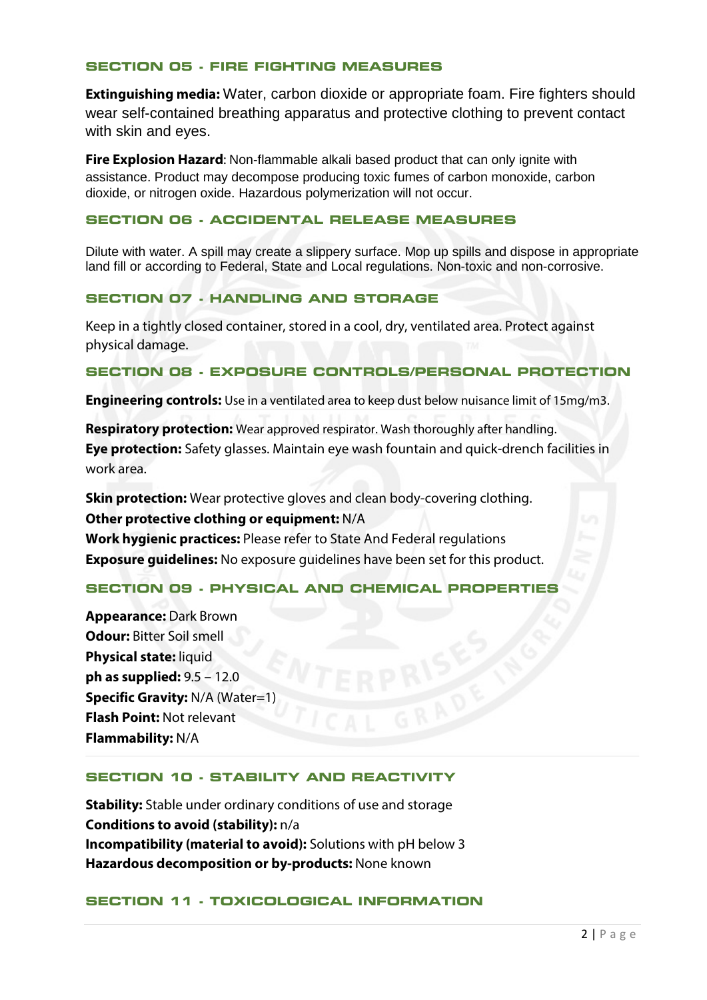#### **SECTION 05 - FIRE FIGHTING MEASURES**

**Extinguishing media:** Water, carbon dioxide or appropriate foam. Fire fighters should wear self-contained breathing apparatus and protective clothing to prevent contact with skin and eyes.

**Fire Explosion Hazard**: Non-flammable alkali based product that can only ignite with assistance. Product may decompose producing toxic fumes of carbon monoxide, carbon dioxide, or nitrogen oxide. Hazardous polymerization will not occur.

#### **SECTION 06 - ACCIDENTAL RELEASE MEASURES**

Dilute with water. A spill may create a slippery surface. Mop up spills and dispose in appropriate land fill or according to Federal, State and Local regulations. Non-toxic and non-corrosive.

## **SECTION 07 - HANDLING AND STORAGE**

Keep in a tightly closed container, stored in a cool, dry, ventilated area. Protect against physical damage.

#### **SECTION 08 - EXPOSURE CONTROLS/PERSONAL PROTECTION**

**Engineering controls:** Use in a ventilated area to keep dust below nuisance limit of 15mg/m3.

**Respiratory protection:** Wear approved respirator. Wash thoroughly after handling. **Eye protection:** Safety glasses. Maintain eye wash fountain and quick-drench facilities in work area.

**Skin protection:** Wear protective gloves and clean body-covering clothing. **Other protective clothing or equipment:** N/A **Work hygienic practices:** Please refer to State And Federal regulations **Exposure guidelines:** No exposure guidelines have been set for this product.

#### **SECTION 09 - PHYSICAL AND CHEMICAL PROPERTIES**

**Appearance:** Dark Brown **Odour:** Bitter Soil smell **Physical state:** liquid **ph as supplied:** 9.5 – 12.0 **Specific Gravity: N/A (Water=1) Flash Point:** Not relevant **Flammability:** N/A

#### **SECTION 10 - STABILITY AND REACTIVITY**

**Stability:** Stable under ordinary conditions of use and storage **Conditions to avoid (stability):** n/a **Incompatibility (material to avoid):** Solutions with pH below 3 **Hazardous decomposition or by-products:** None known

#### **SECTION 11 - TOXICOLOGICAL INFORMATION**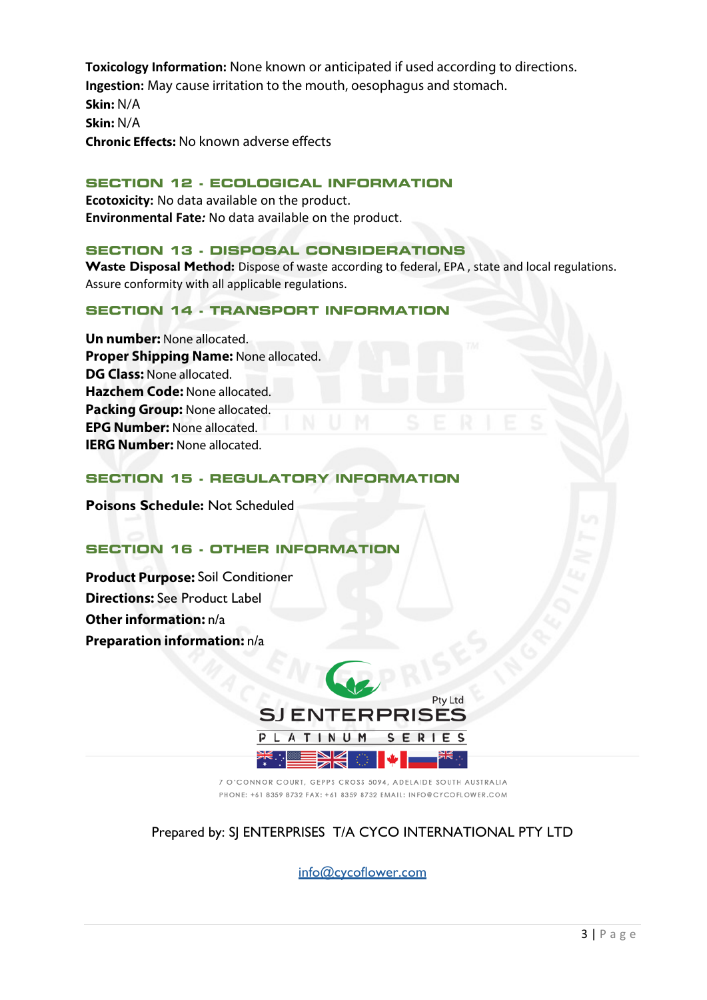**Toxicology Information:** None known or anticipated if used according to directions. **Ingestion:** May cause irritation to the mouth, oesophagus and stomach. **Skin:** N/A **Skin:** N/A **Chronic Effects:** No known adverse effects

#### **SECTION 12 - ECOLOGICAL INFORMATION**

**Ecotoxicity:** No data available on the product. **Environmental Fate***:* No data available on the product.

### **SECTION 13 - DISPOSAL CONSIDERATIONS**

**Waste Disposal Method:** Dispose of waste according to federal, EPA , state and local regulations. Assure conformity with all applicable regulations.

## **SECTION 14 - TRANSPORT INFORMATION**

**Un number:** None allocated. **Proper Shipping Name:** None allocated. **DG Class:** None allocated. **Hazchem Code:** None allocated. **Packing Group:** None allocated. **EPG Number:** None allocated. **IERG Number:** None allocated.

#### **SECTION 15 - REGULATORY INFORMATION**

**Poisons Schedule:** Not Scheduled

## **SECTION 16 - OTHER INFORMATION**

**Product Purpose:** Soil Conditioner **Directions:** See Product Label **Other information:** n/a **Preparation information:** n/a



7 O'CONNOR COURT, GEPPS CROSS 5094, ADELAIDE SOUTH AUSTRALIA PHONE: +61 8359 8732 FAX: +61 8359 8732 EMAIL: INFO@CYCOFLOWER.COM

## Prepared by: SJ ENTERPRISES T/A CYCO INTERNATIONAL PTY LTD

info@cycoflower.com